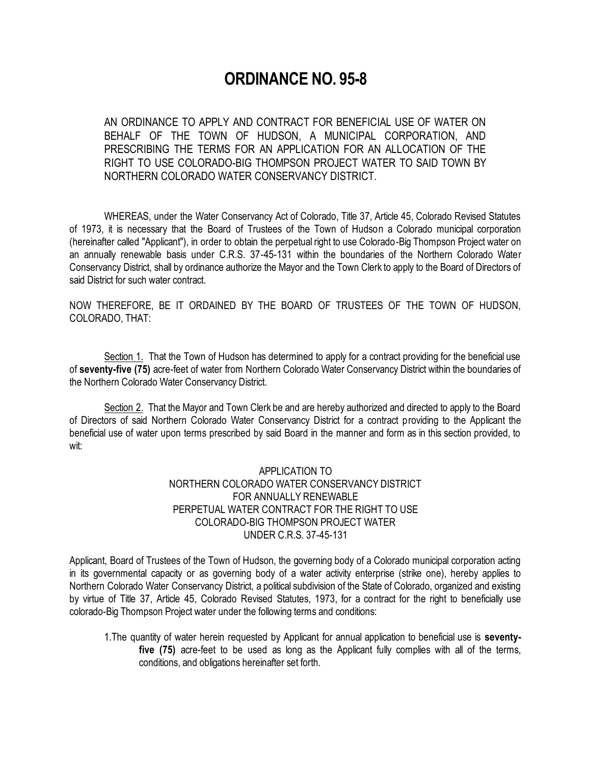## **ORDINANCE NO. 95-8**

AN ORDINANCE TO APPLY AND CONTRACT FOR BENEFICIAL USE OF WATER ON BEHALF OF THE TOWN OF HUDSON, A MUNICIPAL CORPORATION, AND PRESCRIBING THE TERMS FOR AN APPLICATION FOR AN ALLOCATION OF THE RIGHT TO USE COLORADO-BIG THOMPSON PROJECT WATER TO SAID TOWN BY NORTHERN COLORADO WATER CONSERVANCY DISTRICT.

WHEREAS, under the Water Conservancy Act of Colorado, Title 37, Article 45, Colorado Revised Statutes of 1973, it is necessary that the Board of Trustees of the Town of Hudson a Colorado municipal corporation (hereinafter called "Applicant"), in order to obtain the perpetual right to use Colorado-Big Thompson Project water on an annually renewable basis under C.R.S. 37-45-131 within the boundaries of the Northern Colorado Water Conservancy District, shall by ordinance authorize the Mayor and the Town Clerk to apply to the Board of Directors of said District for such water contract.

NOW THEREFORE, BE IT ORDAINED BY THE BOARD OF TRUSTEES OF THE TOWN OF HUDSON, COLORADO, THAT:

Section 1. That the Town of Hudson has determined to apply for a contract providing for the beneficial use of **seventy-five (75)** acre-feet of water from Northern Colorado Water Conservancy District within the boundaries of the Northern Colorado Water Conservancy District.

Section 2. That the Mayor and Town Clerk be and are hereby authorized and directed to apply to the Board of Directors of said Northern Colorado Water Conservancy District for a contract providing to the Applicant the beneficial use of water upon terms prescribed by said Board in the manner and form as in this section provided, to wit:

## APPLICATION TO NORTHERN COLORADO WATER CONSERVANCY DISTRICT FOR ANNUALLY RENEWABLE PERPETUAL WATER CONTRACT FOR THE RIGHT TO USE COLORADO-BIG THOMPSON PROJECT WATER UNDER C.R.S. 37-45-131

Applicant, Board of Trustees of the Town of Hudson, the governing body of a Colorado municipal corporation acting in its governmental capacity or as governing body of a water activity enterprise (strike one), hereby applies to Northern Colorado Water Conservancy District, a political subdivision of the State of Colorado, organized and existing by virtue of Title 37, Article 45, Colorado Revised Statutes, 1973, for a contract for the right to beneficially use colorado-Big Thompson Project water under the following terms and conditions:

1.The quantity of water herein requested by Applicant for annual application to beneficial use is **seventyfive (75)** acre-feet to be used as long as the Applicant fully complies with all of the terms, conditions, and obligations hereinafter set forth.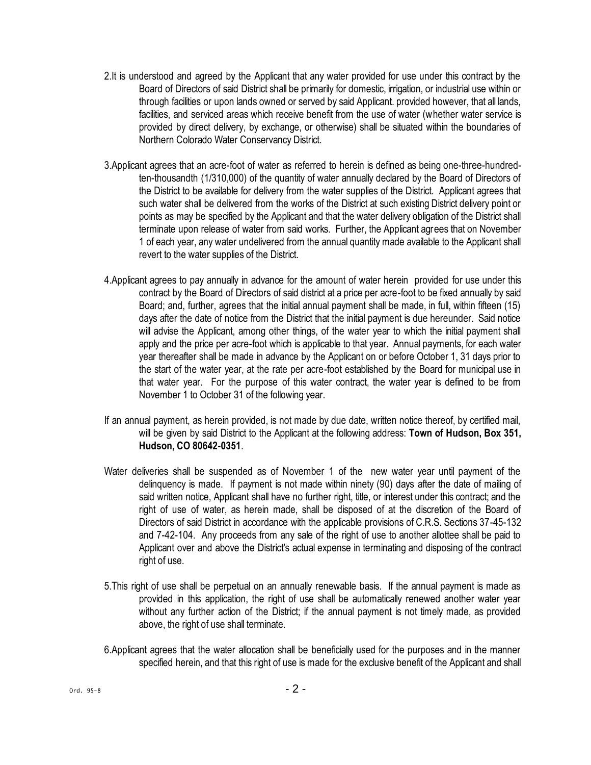- 2.It is understood and agreed by the Applicant that any water provided for use under this contract by the Board of Directors of said District shall be primarily for domestic, irrigation, or industrial use within or through facilities or upon lands owned or served by said Applicant. provided however, that all lands, facilities, and serviced areas which receive benefit from the use of water (whether water service is provided by direct delivery, by exchange, or otherwise) shall be situated within the boundaries of Northern Colorado Water Conservancy District.
- 3.Applicant agrees that an acre-foot of water as referred to herein is defined as being one-three-hundredten-thousandth (1/310,000) of the quantity of water annually declared by the Board of Directors of the District to be available for delivery from the water supplies of the District. Applicant agrees that such water shall be delivered from the works of the District at such existing District delivery point or points as may be specified by the Applicant and that the water delivery obligation of the District shall terminate upon release of water from said works. Further, the Applicant agrees that on November 1 of each year, any water undelivered from the annual quantity made available to the Applicant shall revert to the water supplies of the District.
- 4.Applicant agrees to pay annually in advance for the amount of water herein provided for use under this contract by the Board of Directors of said district at a price per acre-foot to be fixed annually by said Board; and, further, agrees that the initial annual payment shall be made, in full, within fifteen (15) days after the date of notice from the District that the initial payment is due hereunder. Said notice will advise the Applicant, among other things, of the water year to which the initial payment shall apply and the price per acre-foot which is applicable to that year. Annual payments, for each water year thereafter shall be made in advance by the Applicant on or before October 1, 31 days prior to the start of the water year, at the rate per acre-foot established by the Board for municipal use in that water year. For the purpose of this water contract, the water year is defined to be from November 1 to October 31 of the following year.
- If an annual payment, as herein provided, is not made by due date, written notice thereof, by certified mail, will be given by said District to the Applicant at the following address: **Town of Hudson, Box 351, Hudson, CO 80642-0351**.
- Water deliveries shall be suspended as of November 1 of the new water year until payment of the delinquency is made. If payment is not made within ninety (90) days after the date of mailing of said written notice, Applicant shall have no further right, title, or interest under this contract; and the right of use of water, as herein made, shall be disposed of at the discretion of the Board of Directors of said District in accordance with the applicable provisions of C.R.S. Sections 37-45-132 and 7-42-104. Any proceeds from any sale of the right of use to another allottee shall be paid to Applicant over and above the District's actual expense in terminating and disposing of the contract right of use.
- 5.This right of use shall be perpetual on an annually renewable basis. If the annual payment is made as provided in this application, the right of use shall be automatically renewed another water year without any further action of the District; if the annual payment is not timely made, as provided above, the right of use shall terminate.
- 6.Applicant agrees that the water allocation shall be beneficially used for the purposes and in the manner specified herein, and that this right of use is made for the exclusive benefit of the Applicant and shall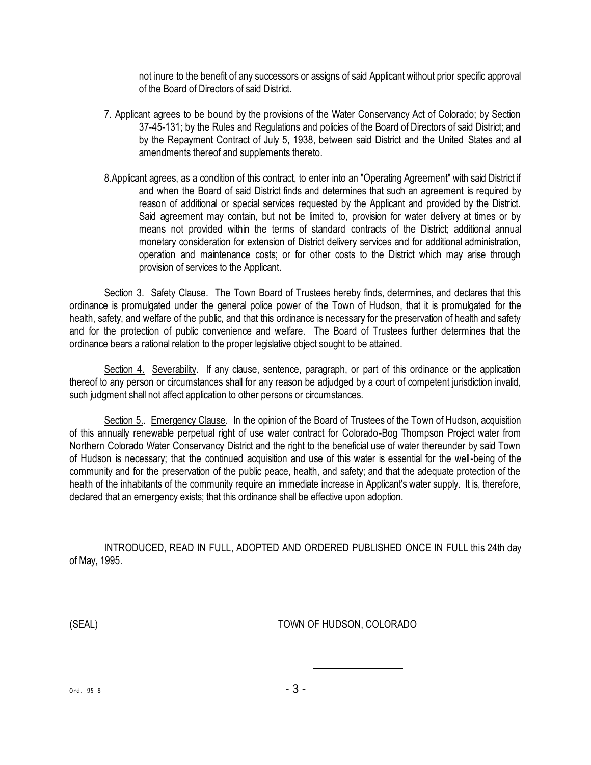not inure to the benefit of any successors or assigns of said Applicant without prior specific approval of the Board of Directors of said District.

- 7. Applicant agrees to be bound by the provisions of the Water Conservancy Act of Colorado; by Section 37-45-131; by the Rules and Regulations and policies of the Board of Directors of said District; and by the Repayment Contract of July 5, 1938, between said District and the United States and all amendments thereof and supplements thereto.
- 8.Applicant agrees, as a condition of this contract, to enter into an "Operating Agreement" with said District if and when the Board of said District finds and determines that such an agreement is required by reason of additional or special services requested by the Applicant and provided by the District. Said agreement may contain, but not be limited to, provision for water delivery at times or by means not provided within the terms of standard contracts of the District; additional annual monetary consideration for extension of District delivery services and for additional administration, operation and maintenance costs; or for other costs to the District which may arise through provision of services to the Applicant.

Section 3. Safety Clause. The Town Board of Trustees hereby finds, determines, and declares that this ordinance is promulgated under the general police power of the Town of Hudson, that it is promulgated for the health, safety, and welfare of the public, and that this ordinance is necessary for the preservation of health and safety and for the protection of public convenience and welfare. The Board of Trustees further determines that the ordinance bears a rational relation to the proper legislative object sought to be attained.

Section 4. Severability. If any clause, sentence, paragraph, or part of this ordinance or the application thereof to any person or circumstances shall for any reason be adjudged by a court of competent jurisdiction invalid, such judgment shall not affect application to other persons or circumstances.

Section 5.. Emergency Clause. In the opinion of the Board of Trustees of the Town of Hudson, acquisition of this annually renewable perpetual right of use water contract for Colorado-Bog Thompson Project water from Northern Colorado Water Conservancy District and the right to the beneficial use of water thereunder by said Town of Hudson is necessary; that the continued acquisition and use of this water is essential for the well-being of the community and for the preservation of the public peace, health, and safety; and that the adequate protection of the health of the inhabitants of the community require an immediate increase in Applicant's water supply. It is, therefore, declared that an emergency exists; that this ordinance shall be effective upon adoption.

INTRODUCED, READ IN FULL, ADOPTED AND ORDERED PUBLISHED ONCE IN FULL this 24th day of May, 1995.

(SEAL) TOWN OF HUDSON, COLORADO

Ord. 95-8  $-3 -$ 

l